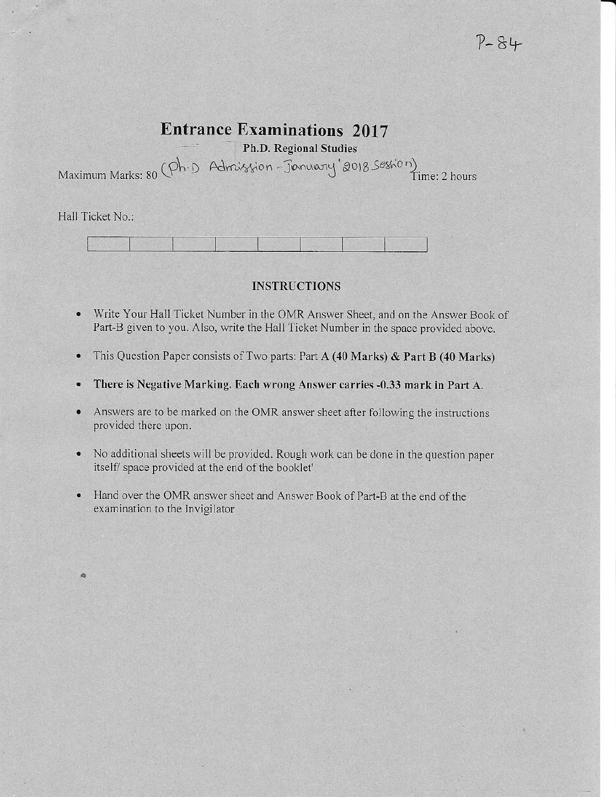# **Entrance Examinations 2017**

Ph.D. Regional Studies

Maximum Marks: 80 (Ph.D Admission - January 2018 Session)<br>Time: 2 hours

Hall Ticket No.:

ä

## **INSTRUCTIONS**

- $\bullet$ Write Your Hall Ticket Number in the OMR Answer Sheet, and on the Answer Book of Part-B given to you. Also, write the Hall Ticket Number in the space provided above.
- This Question Paper consists of Two parts: Part A (40 Marks) & Part B (40 Marks)  $\bullet$
- There is Negative Marking. Each wrong Answer carries -0.33 mark in Part A.  $\bullet$
- Answers are to be marked on the OMR answer sheet after following the instructions  $\bullet$ provided there upon.
- No additional sheets will be provided. Rough work can be done in the question paper itself/ space provided at the end of the booklet'
- Hand over the OMR answer sheet and Answer Book of Part-B at the end of the examination to the Invigilator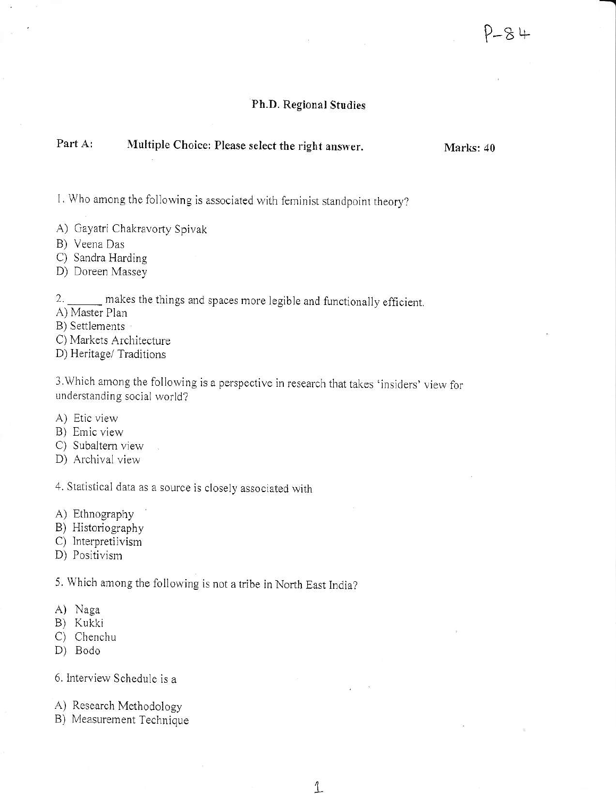### Ph.D. Regional Studies

#### Part A: Multiple Choice: Please select the right answer.

Marks: 40

1. Who among the following is associated with feminist standpoint theory?

- A) Gayatri Chakravorty Spivak
- B) Veena Das
- C) Sandra Harding
- D) Doreen Massey

2. \_\_\_\_\_ makes the things and spaces more legible and functionally efficient.

A) Master Plan

- B) Settlements
- C) Markets Architecture

D) Heritage/ Traditions

3. Which among the following is a perspective in research that takes 'insiders' view for understanding social world?

1

- A) Etic view
- B) Emic view
- C) Subaltern view
- D) Archival view

4. Statistical data as a source is closely associated with

- A) Ethnography
- B) Historiography
- C) Interpretiivism
- D) Positivism

5. Which among the following is not a tribe in North East India?

- A) Naga
- B) Kukki
- C) Chenchu
- D) Bodo

6. Interview Schedule is a

- A) Research Methodology
- B) Measurement Technique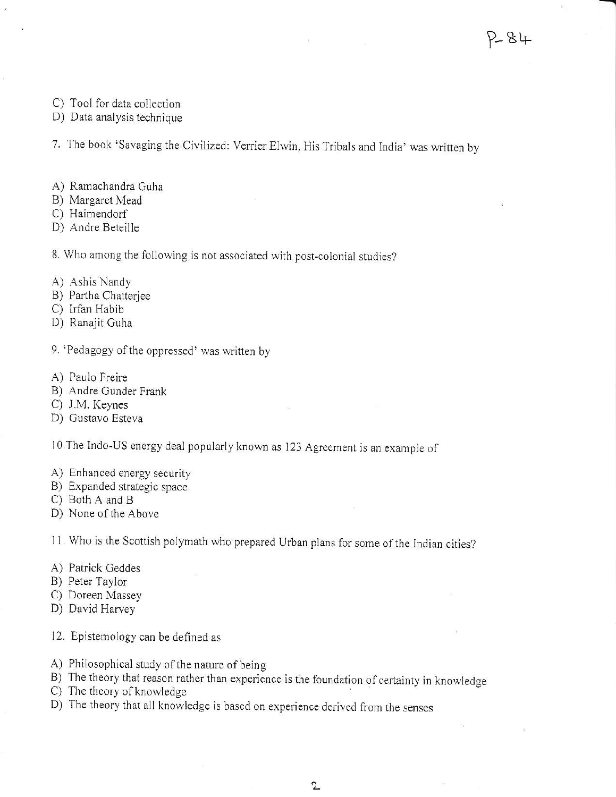- C) Tool for data collection
- D) Data analysis technique

7. The book 'Savaging the Civilized: Verrier Elwin, His Tribals and India' was written by

- A) Ramachandra Guha
- B) Margaret Mead
- C) Haimendorf
- D) Andre Beteille

8. Who among the following is not associated with post-colonial studies?

- A) Ashis Nandy
- B) Partha Chatterjee
- C) Irfan Habib
- D) Ranajit Guha
- 9. 'Pedagogy of the oppressed' was written by
- A) Paulo Freire
- B) Andre Gunder Frank
- C) J.M. Keynes
- D) Gustavo Esteva

10. The Indo-US energy deal popularly known as 123 Agreement is an example of

- A) Enhanced energy security
- B) Expanded strategic space
- C) Both A and B
- D) None of the Above

11. Who is the Scottish polymath who prepared Urban plans for some of the Indian cities?

- A) Patrick Geddes
- B) Peter Taylor
- C) Doreen Massey
- D) David Harvey
- 12. Epistemology can be defined as
- A) Philosophical study of the nature of being
- B) The theory that reason rather than experience is the foundation of certainty in knowledge
- C) The theory of knowledge
- D) The theory that all knowledge is based on experience derived from the senses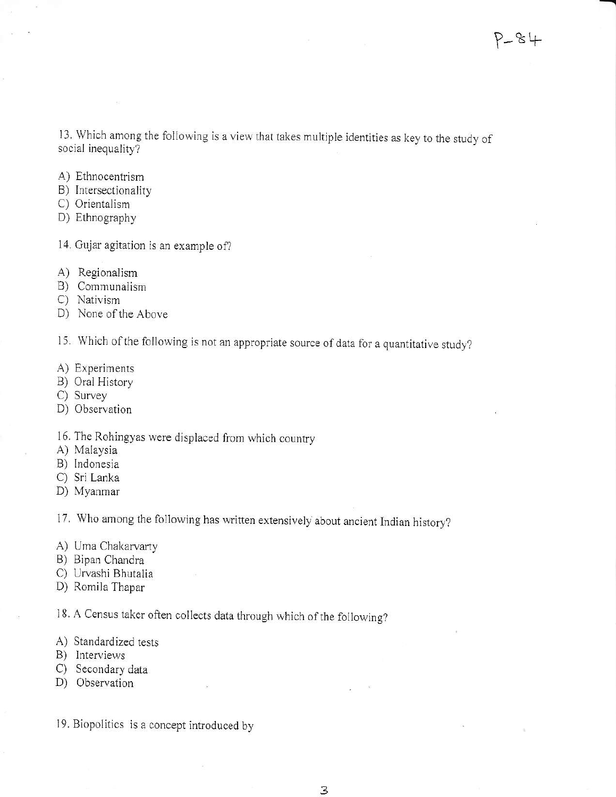13. Which among the following is a view that takes multiple identities as key to the study of social inequaliry?

- A) Ethnocentrism
- B) Intersectionality
- C) Orientalism
- D) Ethnography
- 14. Gujar agitation is an example of?
- A) Regionalism
- B) Communaiism
- C) Nativism
- D) None of the Above

15. Which of the following is not an appropriate source of data for a quantitative study?

- A) Experiments
- B) Oral History
- C) Survey
- D) Observation

16. The Rohingyas were displaced from which country

- A) Malaysia
- B) Indonesia
- C) Sri Lanka
- D) Myanmar'

17. Who among the following has written extensively about ancient Indian history?

- A) Uma Chakarvarty
- B) Bipan Chandra
- C) Urvashi Bhutalia
- D) Romila Thapar

18. A Census taker often collects data through which of the following?

- A) Standardized tests
- B) lnterviews
- C) Secondary data
- D) Observation
- 19. Biopolitics is a concept introduced by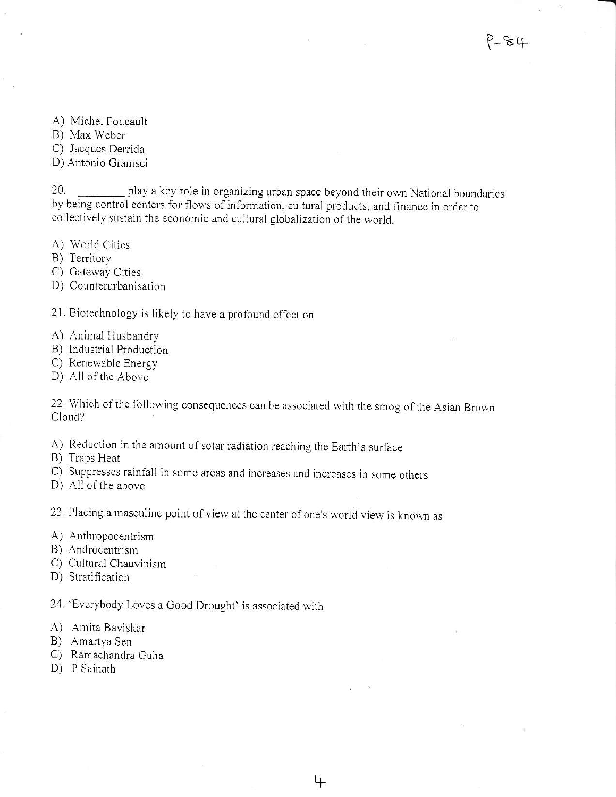A) Michel Foucault

B) Max Weber

C) Jacques Derrida

D) Antonio Gramsci

play a key role in organizing urban space beyond their own National boundaries 20. by being control centers for flows of information, cultural products, and finance in order to collectively sustain the economic and cultural globalization of the world.

A) World Cities

B) Territory

C) Gateway Cities

D) Counterurbanisation

21. Biotechnology is likely to have a profound effect on

A) Animal Husbandry

B) Industrial Production

C) Renewable Energy

D) All of the Above

22. Which of the following consequences can be associated with the smog of the Asian Brown Cloud?

4

A) Reduction in the amount of solar radiation reaching the Earth's surface

B) Traps Heat

C) Suppresses rainfall in some areas and increases and increases in some others

D) All of the above

23. Placing a masculine point of view at the center of one's world view is known as

A) Anthropocentrism

B) Androcentrism

C) Cultural Chauvinism

D) Stratification

24. 'Everybody Loves a Good Drought' is associated with

A) Amita Baviskar

B) Amartya Sen

C) Ramachandra Guha

D) P Sainath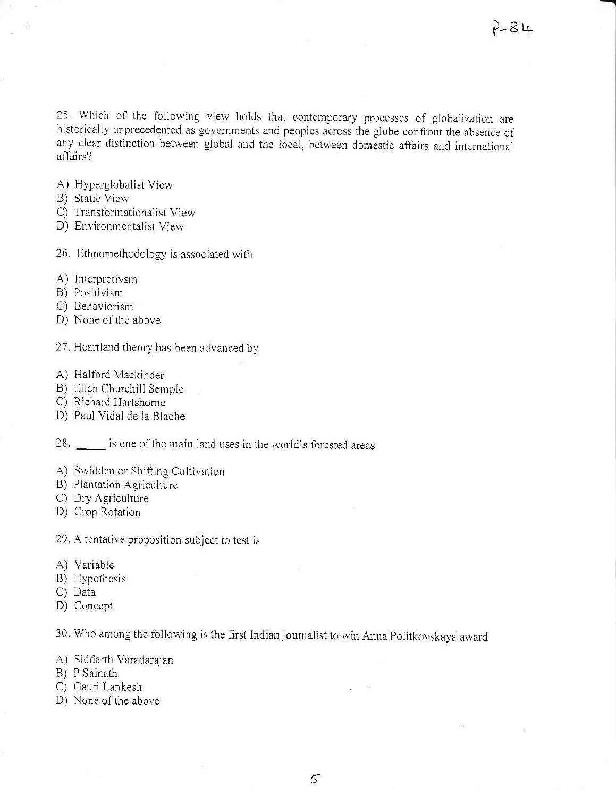25. Which of the following view holds that contemporary processes of globalization are historically unprecedented as governments and peoples across the globe confront the absence of any clear distinction between global and the local, between domestic affairs and international affairs?

- A) Hyperglobalist View
- B) Static View
- C) Transformationalist View
- D) Environmentalist View
- 26. Ethnomethodology is associated with
- A) Interpretivsm
- B) Positivism
- C) Behaviorism
- D) None of the above
- 27. Heartland theory has been advanced by
- A) Halford Mackinder
- B) Ellen Churchill Semple
- C) Richard Hartshorne
- D) Paul Vidal de la Blache
- 28. is one of the main land uses in the world's forested areas
- A) Swidden or Shifting Cultivation
- B) Plantation Agriculture
- C) Dry Agriculture
- D) Crop Rotation
- 29. A tentative proposition subject to test is
- A) Variable
- B) Hypothesis
- C) Data
- D) Concept

30. Who among the following is the first Indian journalist to win Anna Politkovskaya award

- A) Siddarth Varadarajan
- B) P Sainath
- C) Gauri Lankesh
- D) None of the above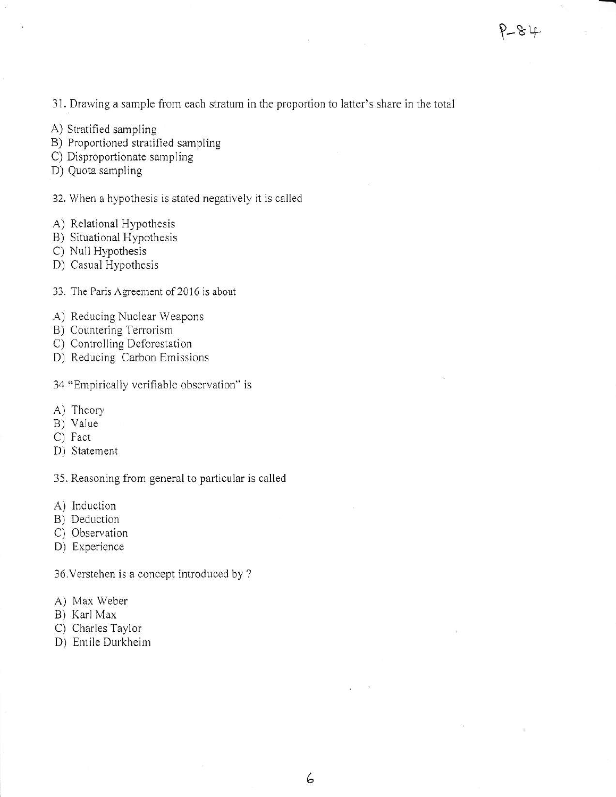31. Drawing a sample from each stratum in the proportion to latter's share in the total

- A) Stratified sampling
- B) Proportioned stratified sampling
- C) Disproportionate sampling
- D) Quota sampling
- 32. When a hypothesis is stated negatively it is called
- A) Relational Hypothesis
- B) Situational Hypothesis
- C) Null Hypothesis
- D) Casual Hypothesjs
- 33. The Paris Agreement of 2016 is about
- A) Reducing Nuclear Weapons
- B) Countering Terrorism
- C) Controlling Deforestation
- D) Reducing Carbon Emissions
- 34 "Empirically verifiable observation" is
- A) Theory
- B) Value
- C) Fact
- D) Statement

35. Reasoning from general to particular is called

- A) lnduction
- B) Deduction
- C) Observation
- D) Experience

36.Verstehen is a concept introduced by ?

- A) Max Weber
- B) Karl Max
- C) Charles Taylor
- D) Emile Durkheim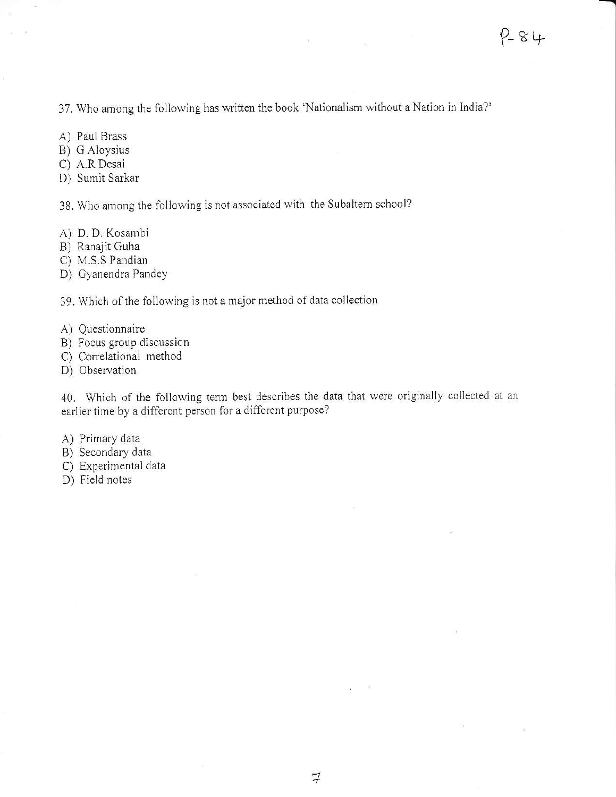37. Who among the following has written the book 'Nationalism without a Nation in India?'

- A) Paul Brass
- B) G Aloysius
- C) A.R Desai
- D) Sumit Sarkar

38. Who among the following is not associated with the Subaltern school?

- A) D. D. Kosambi
- B) Ranajit Guha
- C) M.S.S Pandian

D) Cyanendra Pandey

39. Which of the following is not a major method of data collection

- A) Questionnaire
- B) Focus group discussion
- C) Correlational method
- D) Observation

40. Which of the following term best describes the data that were originally collected at an earlier time by a different person for a different purpose?

- A) Primary data
- B) Secondary data
- C) Experjmental data
- D) Field notes